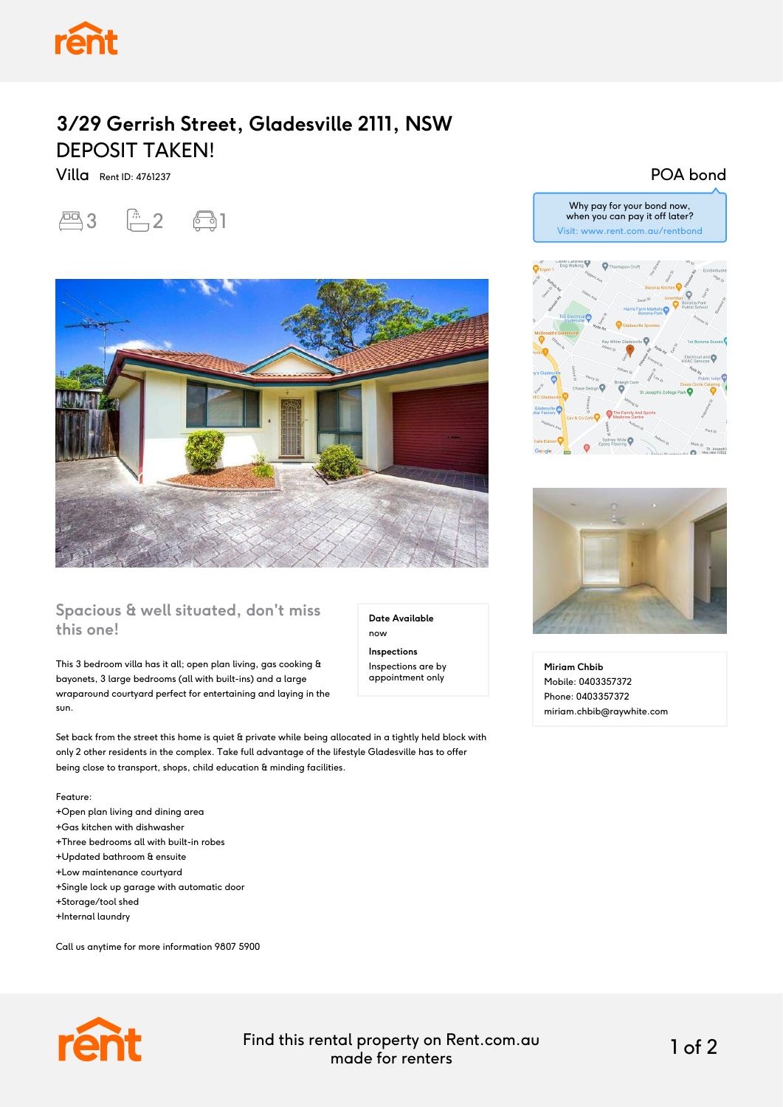# **3/29 Gerrish Street, Gladesville 2111, NSW** DEPOSIT TAKEN!

Villa Rent ID: 4761237





### **Spacious & well situated, don't miss this one!**

This 3 bedroom villa has it all; open plan living, gas cooking & bayonets, 3 large bedrooms (all with built-ins) and a large wraparound courtyard perfect for entertaining and laying in the sun.

Set back from the street this home is quiet & private while being allocated in a tightly held block with only 2 other residents in the complex. Take full advantage of the lifestyle Gladesville has to offer being close to transport, shops, child education & minding facilities.

#### Feature:

- +Open plan living and dining area
- +Gas kitchen with dishwasher
- +Three bedrooms all with built-in robes
- +Updated bathroom & ensuite
- +Low maintenance courtyard
- +Single lock up garage with automatic door
- +Storage/tool shed
- +Internal laundry

Call us anytime for more information 9807 5900



Find this rental property on Rent.com.au made for renters 1 of 2

**Date Available**

now **Inspections** Inspections are by appointment only

#### POA bond





**Miriam Chbib** Mobile: 0403357372 Phone: 0403357372 miriam.chbib@raywhite.com